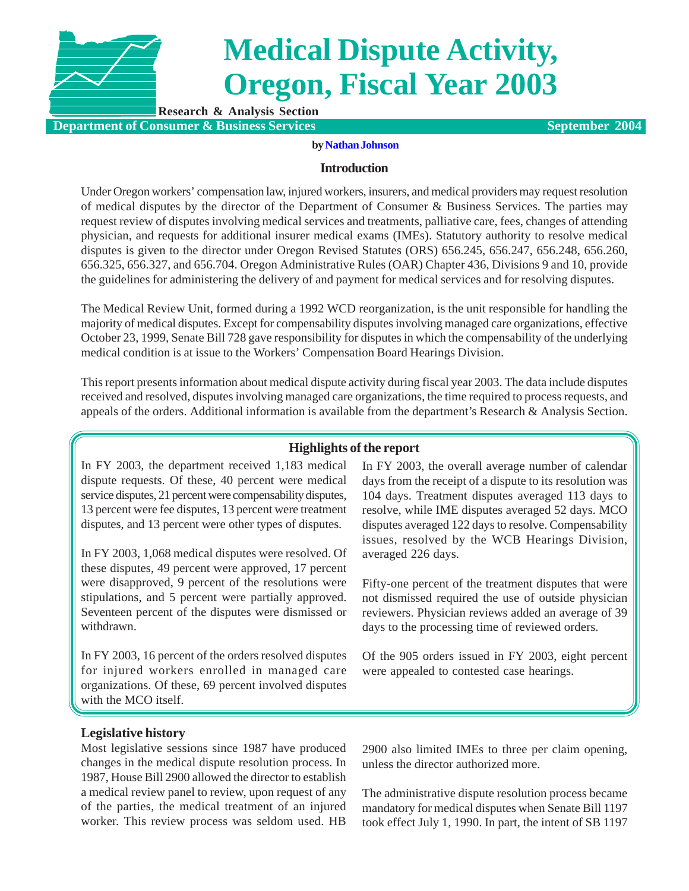

# **Medical Dispute Activity, Oregon, Fiscal Year 2003**

**Department of Consumer & Business Services** Services Services September 2004

## **by [Nathan Johnson](mailto:nathan.johnson@state.or.us)**

## **Introduction**

Under Oregon workers' compensation law, injured workers, insurers, and medical providers may request resolution of medical disputes by the director of the Department of Consumer & Business Services. The parties may request review of disputes involving medical services and treatments, palliative care, fees, changes of attending physician, and requests for additional insurer medical exams (IMEs). Statutory authority to resolve medical disputes is given to the director under Oregon Revised Statutes (ORS) 656.245, 656.247, 656.248, 656.260, 656.325, 656.327, and 656.704. Oregon Administrative Rules (OAR) Chapter 436, Divisions 9 and 10, provide the guidelines for administering the delivery of and payment for medical services and for resolving disputes.

The Medical Review Unit, formed during a 1992 WCD reorganization, is the unit responsible for handling the majority of medical disputes. Except for compensability disputes involving managed care organizations, effective October 23, 1999, Senate Bill 728 gave responsibility for disputes in which the compensability of the underlying medical condition is at issue to the Workers' Compensation Board Hearings Division.

This report presents information about medical dispute activity during fiscal year 2003. The data include disputes received and resolved, disputes involving managed care organizations, the time required to process requests, and appeals of the orders. Additional information is available from the department's Research & Analysis Section.

# **Highlights of the report**

In FY 2003, the department received 1,183 medical dispute requests. Of these, 40 percent were medical service disputes, 21 percent were compensability disputes, 13 percent were fee disputes, 13 percent were treatment disputes, and 13 percent were other types of disputes.

In FY 2003, 1,068 medical disputes were resolved. Of these disputes, 49 percent were approved, 17 percent were disapproved, 9 percent of the resolutions were stipulations, and 5 percent were partially approved. Seventeen percent of the disputes were dismissed or withdrawn.

In FY 2003, 16 percent of the orders resolved disputes for injured workers enrolled in managed care organizations. Of these, 69 percent involved disputes with the MCO itself.

In FY 2003, the overall average number of calendar days from the receipt of a dispute to its resolution was 104 days. Treatment disputes averaged 113 days to resolve, while IME disputes averaged 52 days. MCO disputes averaged 122 days to resolve. Compensability issues, resolved by the WCB Hearings Division, averaged 226 days.

Fifty-one percent of the treatment disputes that were not dismissed required the use of outside physician reviewers. Physician reviews added an average of 39 days to the processing time of reviewed orders.

Of the 905 orders issued in FY 2003, eight percent were appealed to contested case hearings.

## **Legislative history**

Most legislative sessions since 1987 have produced changes in the medical dispute resolution process. In 1987, House Bill 2900 allowed the director to establish a medical review panel to review, upon request of any of the parties, the medical treatment of an injured worker. This review process was seldom used. HB

2900 also limited IMEs to three per claim opening, unless the director authorized more.

The administrative dispute resolution process became mandatory for medical disputes when Senate Bill 1197 took effect July 1, 1990. In part, the intent of SB 1197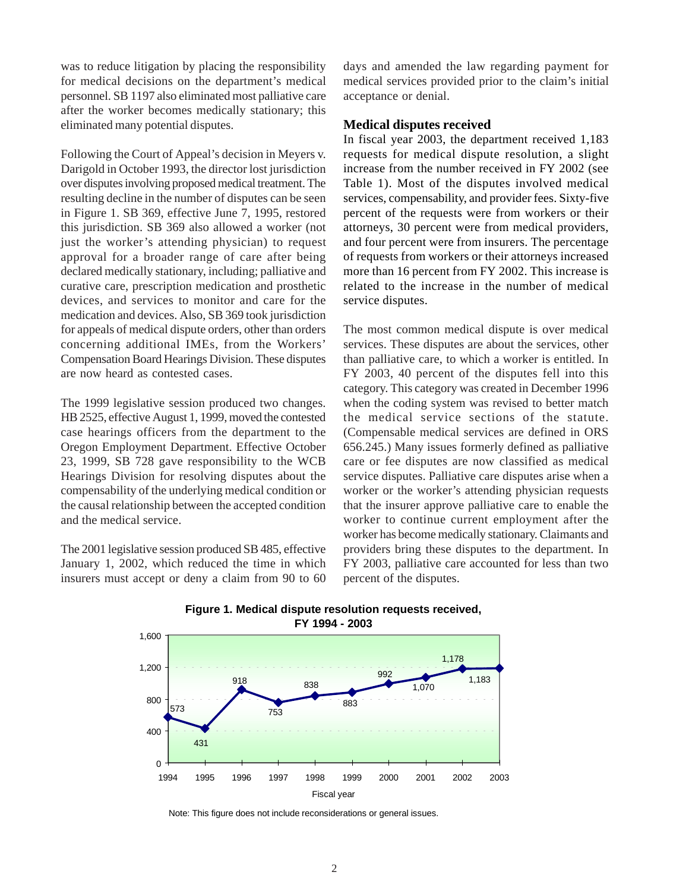was to reduce litigation by placing the responsibility for medical decisions on the department's medical personnel. SB 1197 also eliminated most palliative care after the worker becomes medically stationary; this eliminated many potential disputes.

Following the Court of Appeal's decision in Meyers v. Darigold in October 1993, the director lost jurisdiction over disputes involving proposed medical treatment. The resulting decline in the number of disputes can be seen in Figure 1. SB 369, effective June 7, 1995, restored this jurisdiction. SB 369 also allowed a worker (not just the worker's attending physician) to request approval for a broader range of care after being declared medically stationary, including; palliative and curative care, prescription medication and prosthetic devices, and services to monitor and care for the medication and devices. Also, SB 369 took jurisdiction for appeals of medical dispute orders, other than orders concerning additional IMEs, from the Workers' Compensation Board Hearings Division. These disputes are now heard as contested cases.

The 1999 legislative session produced two changes. HB 2525, effective August 1, 1999, moved the contested case hearings officers from the department to the Oregon Employment Department. Effective October 23, 1999, SB 728 gave responsibility to the WCB Hearings Division for resolving disputes about the compensability of the underlying medical condition or the causal relationship between the accepted condition and the medical service.

The 2001 legislative session produced SB 485, effective January 1, 2002, which reduced the time in which insurers must accept or deny a claim from 90 to 60

days and amended the law regarding payment for medical services provided prior to the claim's initial acceptance or denial.

### **Medical disputes received**

In fiscal year 2003, the department received 1,183 requests for medical dispute resolution, a slight increase from the number received in FY 2002 (see Table 1). Most of the disputes involved medical services, compensability, and provider fees. Sixty-five percent of the requests were from workers or their attorneys, 30 percent were from medical providers, and four percent were from insurers. The percentage of requests from workers or their attorneys increased more than 16 percent from FY 2002. This increase is related to the increase in the number of medical service disputes.

The most common medical dispute is over medical services. These disputes are about the services, other than palliative care, to which a worker is entitled. In FY 2003, 40 percent of the disputes fell into this category. This category was created in December 1996 when the coding system was revised to better match the medical service sections of the statute. (Compensable medical services are defined in ORS 656.245.) Many issues formerly defined as palliative care or fee disputes are now classified as medical service disputes. Palliative care disputes arise when a worker or the worker's attending physician requests that the insurer approve palliative care to enable the worker to continue current employment after the worker has become medically stationary. Claimants and providers bring these disputes to the department. In FY 2003, palliative care accounted for less than two percent of the disputes.





Note: This figure does not include reconsiderations or general issues.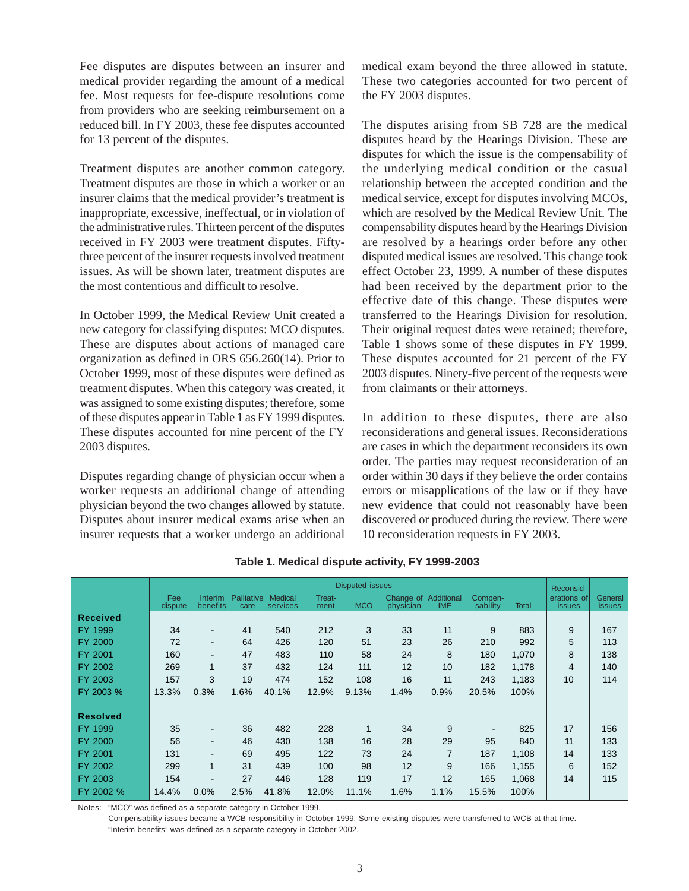Fee disputes are disputes between an insurer and medical provider regarding the amount of a medical fee. Most requests for fee-dispute resolutions come from providers who are seeking reimbursement on a reduced bill. In FY 2003, these fee disputes accounted for 13 percent of the disputes.

Treatment disputes are another common category. Treatment disputes are those in which a worker or an insurer claims that the medical provider's treatment is inappropriate, excessive, ineffectual, or in violation of the administrative rules. Thirteen percent of the disputes received in FY 2003 were treatment disputes. Fiftythree percent of the insurer requests involved treatment issues. As will be shown later, treatment disputes are the most contentious and difficult to resolve.

In October 1999, the Medical Review Unit created a new category for classifying disputes: MCO disputes. These are disputes about actions of managed care organization as defined in ORS 656.260(14). Prior to October 1999, most of these disputes were defined as treatment disputes. When this category was created, it was assigned to some existing disputes; therefore, some of these disputes appear in Table 1 as FY 1999 disputes. These disputes accounted for nine percent of the FY 2003 disputes.

Disputes regarding change of physician occur when a worker requests an additional change of attending physician beyond the two changes allowed by statute. Disputes about insurer medical exams arise when an insurer requests that a worker undergo an additional

medical exam beyond the three allowed in statute. These two categories accounted for two percent of the FY 2003 disputes.

The disputes arising from SB 728 are the medical disputes heard by the Hearings Division. These are disputes for which the issue is the compensability of the underlying medical condition or the casual relationship between the accepted condition and the medical service, except for disputes involving MCOs, which are resolved by the Medical Review Unit. The compensability disputes heard by the Hearings Division are resolved by a hearings order before any other disputed medical issues are resolved. This change took effect October 23, 1999. A number of these disputes had been received by the department prior to the effective date of this change. These disputes were transferred to the Hearings Division for resolution. Their original request dates were retained; therefore, Table 1 shows some of these disputes in FY 1999. These disputes accounted for 21 percent of the FY 2003 disputes. Ninety-five percent of the requests were from claimants or their attorneys.

In addition to these disputes, there are also reconsiderations and general issues. Reconsiderations are cases in which the department reconsiders its own order. The parties may request reconsideration of an order within 30 days if they believe the order contains errors or misapplications of the law or if they have new evidence that could not reasonably have been discovered or produced during the review. There were 10 reconsideration requests in FY 2003.

|                 | <b>Disputed issues</b> |                            |                           |                     |                |            |                                   |            |                     | Reconsid-    |                              |                          |
|-----------------|------------------------|----------------------------|---------------------------|---------------------|----------------|------------|-----------------------------------|------------|---------------------|--------------|------------------------------|--------------------------|
|                 | Fee<br>dispute         | <b>Interim</b><br>benefits | <b>Palliative</b><br>care | Medical<br>services | Treat-<br>ment | <b>MCO</b> | Change of Additional<br>physician | <b>IME</b> | Compen-<br>sability | <b>Total</b> | erations of<br><i>issues</i> | General<br><i>issues</i> |
| <b>Received</b> |                        |                            |                           |                     |                |            |                                   |            |                     |              |                              |                          |
| FY 1999         | 34                     | $\blacksquare$             | 41                        | 540                 | 212            | 3          | 33                                | 11         | 9                   | 883          | 9                            | 167                      |
| FY 2000         | 72                     | $\blacksquare$             | 64                        | 426                 | 120            | 51         | 23                                | 26         | 210                 | 992          | 5                            | 113                      |
| FY 2001         | 160                    | $\blacksquare$             | 47                        | 483                 | 110            | 58         | 24                                | 8          | 180                 | 1,070        | 8                            | 138                      |
| FY 2002         | 269                    | $\mathbf{1}$               | 37                        | 432                 | 124            | 111        | 12                                | 10         | 182                 | 1,178        | 4                            | 140                      |
| FY 2003         | 157                    | 3                          | 19                        | 474                 | 152            | 108        | 16                                | 11         | 243                 | 1,183        | 10                           | 114                      |
| FY 2003 %       | 13.3%                  | 0.3%                       | 1.6%                      | 40.1%               | 12.9%          | 9.13%      | 1.4%                              | 0.9%       | 20.5%               | 100%         |                              |                          |
|                 |                        |                            |                           |                     |                |            |                                   |            |                     |              |                              |                          |
| <b>Resolved</b> |                        |                            |                           |                     |                |            |                                   |            |                     |              |                              |                          |
| FY 1999         | 35                     | $\blacksquare$             | 36                        | 482                 | 228            |            | 34                                | 9          |                     | 825          | 17                           | 156                      |
| FY 2000         | 56                     | $\blacksquare$             | 46                        | 430                 | 138            | 16         | 28                                | 29         | 95                  | 840          | 11                           | 133                      |
| FY 2001         | 131                    | $\blacksquare$             | 69                        | 495                 | 122            | 73         | 24                                | 7          | 187                 | 1,108        | 14                           | 133                      |
| FY 2002         | 299                    | $\mathbf{1}$               | 31                        | 439                 | 100            | 98         | 12                                | 9          | 166                 | 1,155        | 6                            | 152                      |
| FY 2003         | 154                    | $\blacksquare$             | 27                        | 446                 | 128            | 119        | 17                                | 12         | 165                 | 1,068        | 14                           | 115                      |
| FY 2002 %       | 14.4%                  | 0.0%                       | 2.5%                      | 41.8%               | 12.0%          | 11.1%      | 1.6%                              | 1.1%       | 15.5%               | 100%         |                              |                          |

#### **Table 1. Medical dispute activity, FY 1999-2003**

Notes: "MCO" was defined as a separate category in October 1999.

Compensability issues became a WCB responsibility in October 1999. Some existing disputes were transferred to WCB at that time. "Interim benefits" was defined as a separate category in October 2002.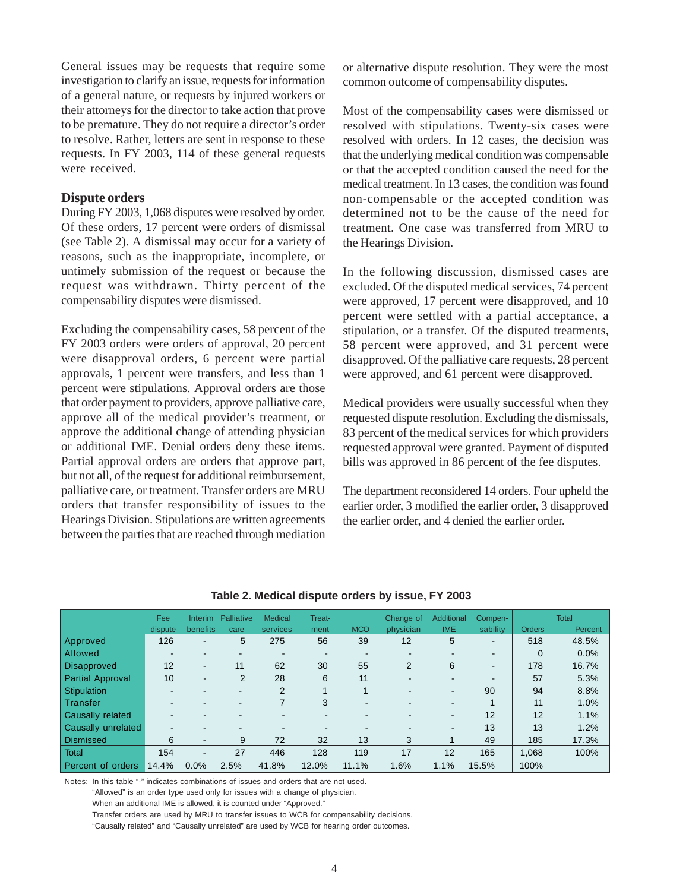General issues may be requests that require some investigation to clarify an issue, requests for information of a general nature, or requests by injured workers or their attorneys for the director to take action that prove to be premature. They do not require a director's order to resolve. Rather, letters are sent in response to these requests. In FY 2003, 114 of these general requests were received.

## **Dispute orders**

During FY 2003, 1,068 disputes were resolved by order. Of these orders, 17 percent were orders of dismissal (see Table 2). A dismissal may occur for a variety of reasons, such as the inappropriate, incomplete, or untimely submission of the request or because the request was withdrawn. Thirty percent of the compensability disputes were dismissed.

Excluding the compensability cases, 58 percent of the FY 2003 orders were orders of approval, 20 percent were disapproval orders, 6 percent were partial approvals, 1 percent were transfers, and less than 1 percent were stipulations. Approval orders are those that order payment to providers, approve palliative care, approve all of the medical provider's treatment, or approve the additional change of attending physician or additional IME. Denial orders deny these items. Partial approval orders are orders that approve part, but not all, of the request for additional reimbursement, palliative care, or treatment. Transfer orders are MRU orders that transfer responsibility of issues to the Hearings Division. Stipulations are written agreements between the parties that are reached through mediation

or alternative dispute resolution. They were the most common outcome of compensability disputes.

Most of the compensability cases were dismissed or resolved with stipulations. Twenty-six cases were resolved with orders. In 12 cases, the decision was that the underlying medical condition was compensable or that the accepted condition caused the need for the medical treatment. In 13 cases, the condition was found non-compensable or the accepted condition was determined not to be the cause of the need for treatment. One case was transferred from MRU to the Hearings Division.

In the following discussion, dismissed cases are excluded. Of the disputed medical services, 74 percent were approved, 17 percent were disapproved, and 10 percent were settled with a partial acceptance, a stipulation, or a transfer. Of the disputed treatments, 58 percent were approved, and 31 percent were disapproved. Of the palliative care requests, 28 percent were approved, and 61 percent were disapproved.

Medical providers were usually successful when they requested dispute resolution. Excluding the dismissals, 83 percent of the medical services for which providers requested approval were granted. Payment of disputed bills was approved in 86 percent of the fee disputes.

The department reconsidered 14 orders. Four upheld the earlier order, 3 modified the earlier order, 3 disapproved the earlier order, and 4 denied the earlier order.

|                         | Fee     | <b>Interim</b>           | <b>Palliative</b> | <b>Medical</b> | Treat- |            | Change of | Additional     | Compen-                  |               | <b>Total</b> |
|-------------------------|---------|--------------------------|-------------------|----------------|--------|------------|-----------|----------------|--------------------------|---------------|--------------|
|                         | dispute | benefits                 | care              | services       | ment   | <b>MCO</b> | physician | <b>IME</b>     | sability                 | <b>Orders</b> | Percent      |
| Approved                | 126     | $\overline{\phantom{a}}$ | 5                 | 275            | 56     | 39         | 12        | 5              |                          | 518           | 48.5%        |
| Allowed                 |         |                          |                   |                |        |            |           |                |                          | 0             | 0.0%         |
| <b>Disapproved</b>      | 12      | $\overline{\phantom{a}}$ | 11                | 62             | 30     | 55         | 2         | 6              | $\overline{\phantom{a}}$ | 178           | 16.7%        |
| <b>Partial Approval</b> | 10      | $\overline{\phantom{a}}$ | 2                 | 28             | 6      | 11         | -         |                |                          | 57            | 5.3%         |
| Stipulation             |         |                          | $\blacksquare$    | $\overline{2}$ |        |            | -         | ۰              | 90                       | 94            | 8.8%         |
| Transfer                |         |                          |                   |                | 3      |            |           |                |                          | 11            | 1.0%         |
| Causally related        |         |                          |                   |                |        |            |           | $\blacksquare$ | 12                       | 12            | 1.1%         |
| Causally unrelated      |         |                          |                   |                |        |            |           | $\blacksquare$ | 13                       | 13            | 1.2%         |
| <b>Dismissed</b>        | 6       | $\overline{\phantom{a}}$ | 9                 | 72             | 32     | 13         | 3         |                | 49                       | 185           | 17.3%        |
| <b>Total</b>            | 154     | $\overline{\phantom{a}}$ | 27                | 446            | 128    | 119        | 17        | 12             | 165                      | 1.068         | 100%         |
| Percent of orders       | 14.4%   | 0.0%                     | 2.5%              | 41.8%          | 12.0%  | 11.1%      | 1.6%      | 1.1%           | 15.5%                    | 100%          |              |

**Table 2. Medical dispute orders by issue, FY 2003**

Notes: In this table "-" indicates combinations of issues and orders that are not used.

"Allowed" is an order type used only for issues with a change of physician.

When an additional IME is allowed, it is counted under "Approved."

Transfer orders are used by MRU to transfer issues to WCB for compensability decisions. "Causally related" and "Causally unrelated" are used by WCB for hearing order outcomes.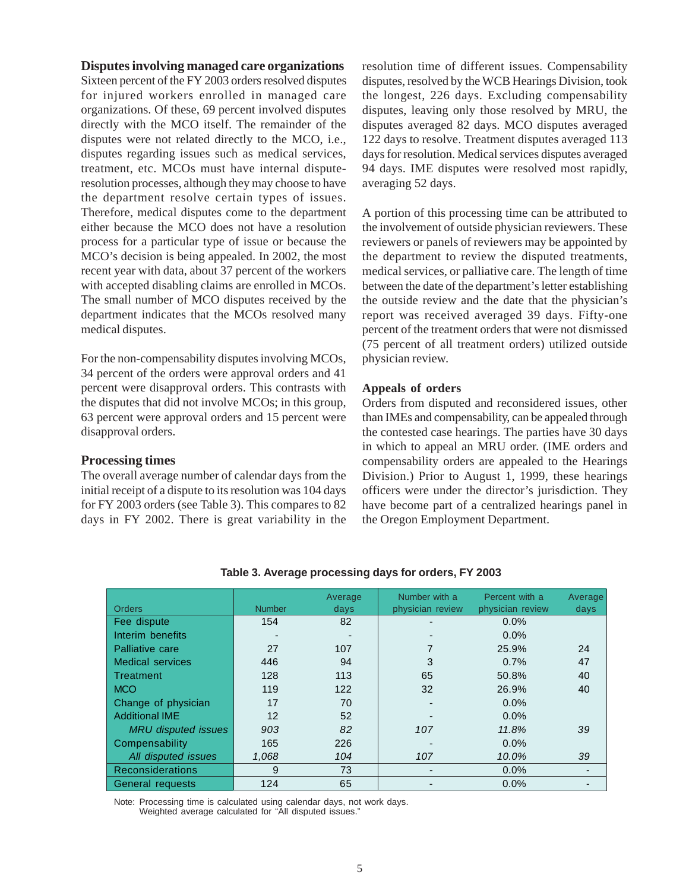### **Disputes involving managed care organizations**

Sixteen percent of the FY 2003 orders resolved disputes for injured workers enrolled in managed care organizations. Of these, 69 percent involved disputes directly with the MCO itself. The remainder of the disputes were not related directly to the MCO, i.e., disputes regarding issues such as medical services, treatment, etc. MCOs must have internal disputeresolution processes, although they may choose to have the department resolve certain types of issues. Therefore, medical disputes come to the department either because the MCO does not have a resolution process for a particular type of issue or because the MCO's decision is being appealed. In 2002, the most recent year with data, about 37 percent of the workers with accepted disabling claims are enrolled in MCOs. The small number of MCO disputes received by the department indicates that the MCOs resolved many medical disputes.

For the non-compensability disputes involving MCOs, 34 percent of the orders were approval orders and 41 percent were disapproval orders. This contrasts with the disputes that did not involve MCOs; in this group, 63 percent were approval orders and 15 percent were disapproval orders.

## **Processing times**

The overall average number of calendar days from the initial receipt of a dispute to its resolution was 104 days for FY 2003 orders (see Table 3). This compares to 82 days in FY 2002. There is great variability in the

resolution time of different issues. Compensability disputes, resolved by the WCB Hearings Division, took the longest, 226 days. Excluding compensability disputes, leaving only those resolved by MRU, the disputes averaged 82 days. MCO disputes averaged 122 days to resolve. Treatment disputes averaged 113 days for resolution. Medical services disputes averaged 94 days. IME disputes were resolved most rapidly, averaging 52 days.

A portion of this processing time can be attributed to the involvement of outside physician reviewers. These reviewers or panels of reviewers may be appointed by the department to review the disputed treatments, medical services, or palliative care. The length of time between the date of the department's letter establishing the outside review and the date that the physician's report was received averaged 39 days. Fifty-one percent of the treatment orders that were not dismissed (75 percent of all treatment orders) utilized outside physician review.

## **Appeals of orders**

Orders from disputed and reconsidered issues, other than IMEs and compensability, can be appealed through the contested case hearings. The parties have 30 days in which to appeal an MRU order. (IME orders and compensability orders are appealed to the Hearings Division.) Prior to August 1, 1999, these hearings officers were under the director's jurisdiction. They have become part of a centralized hearings panel in the Oregon Employment Department.

|                            |               | Average | Number with a            | Percent with a   | Average |
|----------------------------|---------------|---------|--------------------------|------------------|---------|
| <b>Orders</b>              | <b>Number</b> | days    | physician review         | physician review | days    |
| Fee dispute                | 154           | 82      |                          | 0.0%             |         |
| Interim benefits           |               | ٠       |                          | 0.0%             |         |
| Palliative care            | 27            | 107     | 7                        | 25.9%            | 24      |
| <b>Medical services</b>    | 446           | 94      | 3                        | 0.7%             | 47      |
| Treatment                  | 128           | 113     | 65                       | 50.8%            | 40      |
| <b>MCO</b>                 | 119           | 122     | 32                       | 26.9%            | 40      |
| Change of physician        | 17            | 70      |                          | 0.0%             |         |
| <b>Additional IME</b>      | 12            | 52      |                          | $0.0\%$          |         |
| <b>MRU</b> disputed issues | 903           | 82      | 107                      | 11.8%            | 39      |
| Compensability             | 165           | 226     |                          | $0.0\%$          |         |
| All disputed issues        | 1,068         | 104     | 107                      | 10.0%            | 39      |
| <b>Reconsiderations</b>    | 9             | 73      | $\overline{\phantom{a}}$ | 0.0%             |         |
| General requests           | 124           | 65      |                          | 0.0%             |         |

**Table 3. Average processing days for orders, FY 2003**

Note: Processing time is calculated using calendar days, not work days. Weighted average calculated for "All disputed issues."